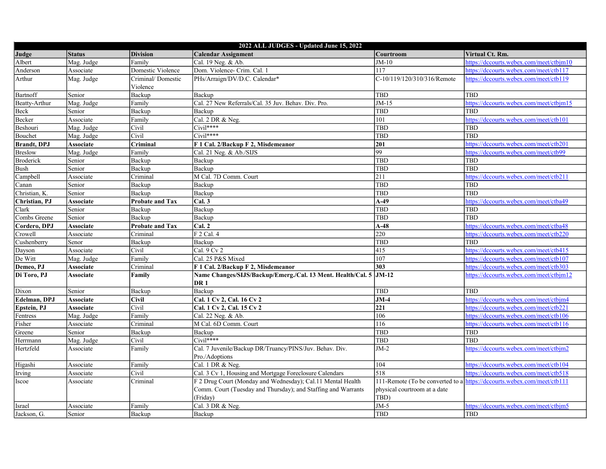| 2022 ALL JUDGES - Updated June 15, 2022 |                  |                        |                                                                   |                              |                                                                         |  |
|-----------------------------------------|------------------|------------------------|-------------------------------------------------------------------|------------------------------|-------------------------------------------------------------------------|--|
| Judge                                   | <b>Status</b>    | <b>Division</b>        | <b>Calendar Assignment</b>                                        | Courtroom                    | Virtual Ct. Rm.                                                         |  |
| Albert                                  | Mag. Judge       | Family                 | Cal. 19 Neg. & Ab.                                                | $JM-10$                      | https://dccourts.webex.com/meet/ctbjm10                                 |  |
| Anderson                                | Associate        | Domestic Violence      | Dom. Violence- Crim. Cal. 1                                       | 117                          | https://dccourts.webex.com/meet/ctb117                                  |  |
| Arthur                                  | Mag. Judge       | Criminal/Domestic      | PHs/Arraign/DV/D.C. Calendar*                                     | C-10/119/120/310/316/Remote  | https://dccourts.webex.com/meet/ctb119                                  |  |
|                                         |                  | Violence               |                                                                   |                              |                                                                         |  |
| Bartnoff                                | Senior           | Backup                 | Backup                                                            | <b>TBD</b>                   | <b>TBD</b>                                                              |  |
| Beatty-Arthur                           | Mag. Judge       | Family                 | Cal. 27 New Referrals/Cal. 35 Juv. Behav. Div. Pro.               | $JM-15$                      | https://dccourts.webex.com/meet/ctbjm15                                 |  |
| Beck                                    | Senior           | Backup                 | Backup                                                            | <b>TBD</b>                   | TBD                                                                     |  |
| Becker                                  | Associate        | Family                 | Cal. 2 DR & Neg.                                                  | 101                          | https://dccourts.webex.com/meet/ctb101                                  |  |
| Beshouri                                | Mag. Judge       | Civil                  | Civil****                                                         | <b>TBD</b>                   | TBD                                                                     |  |
| Bouchet                                 | Mag. Judge       | Civil                  | $\overline{\text{Civil}^{***}}$                                   | TBD                          | <b>TBD</b>                                                              |  |
| <b>Brandt</b> , DPJ                     | <b>Associate</b> | Criminal               | F 1 Cal. 2/Backup F 2, Misdemeanor                                | 201                          | https://dccourts.webex.com/meet/ctb201                                  |  |
| Breslow                                 | Mag. Judge       | Family                 | Cal. 21 Neg. & Ab./SIJS                                           | 99                           | https://dccourts.webex.com/meet/ctb99                                   |  |
| <b>Broderick</b>                        | Senior           | Backup                 | Backup                                                            | <b>TBD</b>                   | <b>TBD</b>                                                              |  |
| <b>Bush</b>                             | Senior           | Backup                 | Backup                                                            | <b>TBD</b>                   | TBD                                                                     |  |
| Campbell                                | Associate        | Criminal               | M Cal. 7D Comm. Court                                             | 211                          | https://dccourts.webex.com/meet/ctb211                                  |  |
| Canan                                   | Senior           | Backup                 | Backup                                                            | TBD                          | TBD                                                                     |  |
| Christian, K.                           | Senior           | Backup                 | Backup                                                            | TBD                          | TBD                                                                     |  |
| Christian, PJ                           | <b>Associate</b> | Probate and Tax        | Cal.3                                                             | $A-49$                       | https://dccourts.webex.com/meet/ctba49                                  |  |
| Clark                                   | Senior           | Backup                 | Backup                                                            | TBD                          | TBD                                                                     |  |
| Combs Greene                            | Senior           | Backup                 | Backup                                                            | TBD                          | TBD                                                                     |  |
| Cordero, DPJ                            | <b>Associate</b> | <b>Probate and Tax</b> | Cal. 2                                                            | $A-48$                       | https://dccourts.webex.com/meet/ctba48                                  |  |
| Crowell                                 | Associate        | Criminal               | $F$ 2 Cal. 4                                                      | 220                          | https://dccourts.webex.com/meet/ctb220                                  |  |
| Cushenberry                             | Senor            | Backup                 | Backup                                                            | TBD                          | <b>TBD</b>                                                              |  |
| Dayson                                  | Associate        | Civil                  | Cal. $9$ Cv $2$                                                   | 415                          | https://dccourts.webex.com/meet/ctb415                                  |  |
| De Witt                                 | Mag. Judge       | Family                 | Cal. 25 P&S Mixed                                                 | 107                          | https://dccourts.webex.com/meet/ctb107                                  |  |
| Demeo, PJ                               | <b>Associate</b> | Criminal               | F 1 Cal. 2/Backup F 2, Misdemeanor                                | 303                          | https://dccourts.webex.com/meet/ctb303                                  |  |
| Di Toro, PJ                             | <b>Associate</b> | Family                 | Name Changes/SIJS/Backup/Emerg./Cal. 13 Ment. Health/Cal. 5 JM-12 |                              | https://dccourts.webex.com/meet/ctbjm12                                 |  |
|                                         |                  |                        | DR <sub>1</sub>                                                   |                              |                                                                         |  |
| Dixon                                   | Senior           | Backup                 | $\overline{\text{Backup}}$                                        | TBD                          | TBD                                                                     |  |
| Edelman, DPJ                            | <b>Associate</b> | Civil                  | Cal. 1 Cv 2, Cal. 16 Cv 2                                         | $JM-4$                       | https://dccourts.webex.com/meet/ctbjm4                                  |  |
| Epstein, PJ                             | <b>Associate</b> | Civil                  | Cal. 1 Cv 2, Cal. 15 Cv 2                                         | 221                          | https://dccourts.webex.com/meet/ctb221                                  |  |
| Fentress                                | Mag. Judge       | Family                 | Cal. 22 Neg. & Ab.                                                | 106                          | https://dccourts.webex.com/meet/ctb106                                  |  |
| Fisher                                  | Associate        | Criminal               | M Cal. 6D Comm. Court                                             | $\overline{116}$             | https://dccourts.webex.com/meet/ctb116                                  |  |
| Greene                                  | Senior           | Backup                 | Backup                                                            | <b>TBD</b>                   | <b>TBD</b>                                                              |  |
| Herrmann                                | Mag. Judge       | Civil                  | $Civil***$                                                        | TBD                          | TBD                                                                     |  |
| Hertzfeld                               | Associate        | Family                 | Cal. 7 Juvenile/Backup DR/Truancy/PINS/Juv. Behav. Div.           | $JM-2$                       | https://dccourts.webex.com/meet/ctbjm2                                  |  |
|                                         |                  |                        | Pro./Adoptions                                                    |                              |                                                                         |  |
| Higashi                                 | Associate        | Family                 | Cal. 1 DR & Neg.                                                  | 104                          | https://dccourts.webex.com/meet/ctb104                                  |  |
| Irving                                  | Associate        | Civil                  | Cal. 3 Cv 1, Housing and Mortgage Foreclosure Calendars           | 518                          | https://dccourts.webex.com/meet/ctb518                                  |  |
| Iscoe                                   | Associate        | Criminal               | F 2 Drug Court (Monday and Wednesday); Cal.11 Mental Health       |                              | 111-Remote (To be converted to a https://dccourts.webex.com/meet/ctb111 |  |
|                                         |                  |                        | Comm. Court (Tuesday and Thursday); and Staffing and Warrants     | physical courtroom at a date |                                                                         |  |
|                                         |                  |                        | (Friday)                                                          | TBD)                         |                                                                         |  |
| Israel                                  | Associate        | Family                 | Cal. 3 DR & Neg.                                                  | $JM-5$                       | https://dccourts.webex.com/meet/ctbjm5                                  |  |
| Jackson, G.                             | <b>Senior</b>    | Backup                 | Backup                                                            | TBD                          | TBD                                                                     |  |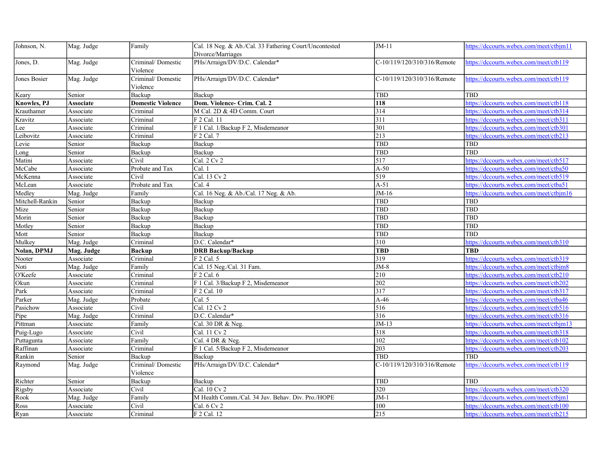| Johnson, N.          | Mag. Judge | Family                        | Cal. 18 Neg. & Ab./Cal. 33 Fathering Court/Uncontested<br>Divorce/Marriages | $JM-11$                     | https://dccourts.webex.com/meet/ctbjm11 |
|----------------------|------------|-------------------------------|-----------------------------------------------------------------------------|-----------------------------|-----------------------------------------|
| Jones, D.            | Mag. Judge | Criminal/Domestic<br>Violence | PHs/Arraign/DV/D.C. Calendar*                                               | C-10/119/120/310/316/Remote | https://dccourts.webex.com/meet/ctb119  |
| Jones Bosier         | Mag. Judge | Criminal/Domestic<br>Violence | PHs/Arraign/DV/D.C. Calendar*                                               | C-10/119/120/310/316/Remote | https://dccourts.webex.com/meet/ctb119  |
| Keary                | Senior     | Backup                        | Backup                                                                      | <b>TBD</b>                  | <b>TBD</b>                              |
| <b>Knowles</b> , PJ  | Associate  | <b>Domestic Violence</b>      | Dom. Violence- Crim. Cal. 2                                                 | 118                         | https://dccourts.webex.com/meet/ctb118  |
| Krauthamer           | Associate  | Criminal                      | M Cal. 2D & 4D Comm. Court                                                  | $\overline{314}$            | https://dccourts.webex.com/meet/ctb314  |
| Kravitz              | Associate  | Criminal                      | $\overline{F}$ 2 Cal. 11                                                    | 311                         | https://dccourts.webex.com/meet/ctb311  |
| Lee                  | Associate  | Criminal                      | F 1 Cal. 1/Backup F 2, Misdemeanor                                          | 301                         | https://dccourts.webex.com/meet/ctb301  |
| Leibovitz            | Associate  | Criminal                      | $F$ 2 Cal. 7                                                                | 213                         | https://dccourts.webex.com/meet/ctb213  |
| Levie                | Senior     | Backup                        | Backup                                                                      | TBD                         | TBD                                     |
| Long                 | Senior     | Backup                        | Backup                                                                      | TBD                         | <b>TBD</b>                              |
| Matini               | Associate  | Civil                         | Cal. 2 Cv 2                                                                 | 517                         | https://dccourts.webex.com/meet/ctb517  |
| McCabe               | Associate  | Probate and Tax               | Cal. 1                                                                      | $A-50$                      | https://dccourts.webex.com/meet/ctba50  |
| McKenna              | Associate  | Civil                         | Cal. 13 Cv 2                                                                | 519                         | https://dccourts.webex.com/meet/ctb519  |
| McLean               | Associate  | Probate and Tax               | Cal. 4                                                                      | $A-51$                      | https://dccourts.webex.com/meet/ctba51  |
| Medley               | Mag. Judge | Family                        | Cal. 16 Neg. & Ab./Cal. 17 Neg. & Ab.                                       | $JM-16$                     | https://dccourts.webex.com/meet/ctbjm16 |
| Mitchell-Rankin      | Senior     | Backup                        | Backup                                                                      | TBD                         | TBD                                     |
| Mize                 | Senior     | Backup                        | Backup                                                                      | TBD                         | TBD                                     |
| Morin                | Senior     | Backup                        | Backup                                                                      | TBD                         | <b>TBD</b>                              |
| Motley               | Senior     | Backup                        | Backup                                                                      | TBD                         | <b>TBD</b>                              |
| Mott                 | Senior     | Backup                        | Backup                                                                      | <b>TBD</b>                  | <b>TBD</b>                              |
| Mulkey               | Mag. Judge | Criminal                      | D.C. Calendar*                                                              | 310                         | https://dccourts.webex.com/meet/ctb310  |
| Nolan, DPMJ          | Mag. Judge | <b>Backup</b>                 | <b>DRB Backup/Backup</b>                                                    | <b>TBD</b>                  | <b>TBD</b>                              |
| Nooter               | Associate  | Criminal                      | F 2 Cal. 5                                                                  | 319                         | https://dccourts.webex.com/meet/ctb319  |
| Noti                 | Mag. Judge | Family                        | Cal. 15 Neg./Cal. 31 Fam.                                                   | $JM-8$                      | https://dccourts.webex.com/meet/ctbjm8  |
| O'Keefe              | Associate  | Criminal                      | $F$ 2 Cal. 6                                                                | 210                         | https://dccourts.webex.com/meet/ctb210  |
| Okun                 | Associate  | Criminal                      | F 1 Cal. 3/Backup F 2, Misdemeanor                                          | 202                         | https://dccourts.webex.com/meet/ctb202  |
| $\sqrt{\text{Park}}$ | Associate  | Criminal                      | $F$ 2 Cal. 10                                                               | 317                         | https://dccourts.webex.com/meet/ctb317  |
| Parker               | Mag. Judge | Probate                       | Cal. 5                                                                      | $A-46$                      | https://dccourts.webex.com/meet/ctba46  |
| Pasichow             | Associate  | Civil                         | Cal. 12 Cv 2                                                                | 516                         | https://dccourts.webex.com/meet/ctb516  |
| Pipe                 | Mag. Judge | Criminal                      | D.C. Calendar*                                                              | 316                         | https://dccourts.webex.com/meet/ctb316  |
| Pittman              | Associate  | Family                        | Cal. 30 DR & Neg.                                                           | $JM-13$                     | https://dccourts.webex.com/meet/ctbjm13 |
| Puig-Lugo            | Associate  | Civil                         | Cal. 11 Cv 2                                                                | 318                         | https://dccourts.webex.com/meet/ctb318  |
| Puttagunta           | Associate  | Family                        | Cal. 4 DR & Neg.                                                            | 102                         | https://dccourts.webex.com/meet/ctb102  |
| Raffinan             | Associate  | $\overline{\text{C}}$ riminal | F 1 Cal. 5/Backup F 2, Misdemeanor                                          | 203                         | https://dccourts.webex.com/meet/ctb203  |
| Rankin               | Senior     | Backup                        | Backup                                                                      | <b>TBD</b>                  | <b>TBD</b>                              |
| Raymond              | Mag. Judge | Criminal/Domestic             | PHs/Arraign/DV/D.C. Calendar*                                               | C-10/119/120/310/316/Remote | https://dccourts.webex.com/meet/ctb119  |
|                      |            | Violence                      |                                                                             |                             |                                         |
| Richter              | Senior     | Backup                        | Backup                                                                      | TBD                         | <b>TBD</b>                              |
| Rigsby               | Associate  | Civil                         | Cal. 10 Cv 2                                                                | 320                         | https://dccourts.webex.com/meet/ctb320  |
| Rook                 | Mag. Judge | Family                        | M Health Comm./Cal. 34 Juv. Behav. Div. Pro./HOPE                           | $JM-1$                      | https://dccourts.webex.com/meet/ctbjm1  |
| Ross                 | Associate  | Civil                         | Cal. 6 Cv 2                                                                 | 100                         | https://dccourts.webex.com/meet/ctb100  |
| Ryan                 | Associate  | Criminal                      | F 2 Cal. 12                                                                 | 215                         | https://dccourts.webex.com/meet/ctb215  |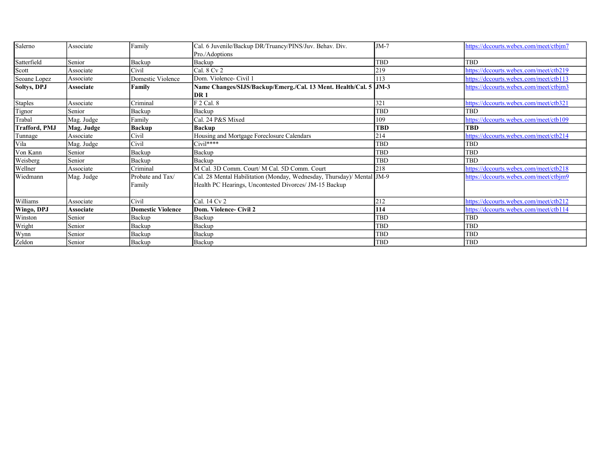| Salerno              | Associate  | Family                   | Cal. 6 Juvenile/Backup DR/Truancy/PINS/Juv. Behav. Div.                | $JM-7$     | https://dccourts.webex.com/meet/ctbjm7 |
|----------------------|------------|--------------------------|------------------------------------------------------------------------|------------|----------------------------------------|
|                      |            |                          | Pro./Adoptions                                                         |            |                                        |
| Satterfield          | Senior     | Backup                   | Backup                                                                 | TBD        | TBD                                    |
| Scott                | Associate  | Civil                    | $Ca1.8$ Cv 2                                                           | 219        | https://dccourts.webex.com/meet/ctb219 |
| Seoane Lopez         | Associate  | Domestic Violence        | Dom. Violence- Civil 1                                                 | 13         | https://dccourts.webex.com/meet/ctb113 |
| <b>Soltys, DPJ</b>   | Associate  | Family                   | Name Changes/SIJS/Backup/Emerg./Cal. 13 Ment. Health/Cal. 5 JM-3       |            | https://dccourts.webex.com/meet/ctbjm3 |
|                      |            |                          | DR 1                                                                   |            |                                        |
| <b>Staples</b>       | Associate  | Criminal                 | F 2 Cal. 8                                                             | 321        | https://dccourts.webex.com/meet/ctb321 |
| Tignor               | Senior     | Backup                   | Backup                                                                 | TBD        | TBD                                    |
| Trabal               | Mag. Judge | Family                   | Cal. 24 P&S Mixed                                                      | 109        | https://dccourts.webex.com/meet/ctb109 |
| <b>Trafford, PMJ</b> | Mag. Judge | <b>Backup</b>            | <b>Backup</b>                                                          | <b>TBD</b> | <b>TBD</b>                             |
| Tunnage              | Associate  | Civil                    | Housing and Mortgage Foreclosure Calendars                             | 214        | https://dccourts.webex.com/meet/ctb214 |
| Vila                 | Mag. Judge | Civil                    | $Civil****$                                                            | TBD        | TBD                                    |
| Von Kann             | Senior     | Backup                   | Backup                                                                 | TBD        | TBD                                    |
| Weisberg             | Senior     | Backup                   | Backup                                                                 | TBD        | TBD                                    |
| Wellner              | Associate  | Criminal                 | M Cal. 3D Comm. Court/ M Cal. 5D Comm. Court                           | 218        | https://dccourts.webex.com/meet/ctb218 |
| Wiedmann             | Mag. Judge | Probate and Tax/         | Cal. 28 Mental Habilitation (Monday, Wednesday, Thursday)/ Mental JM-9 |            | https://dccourts.webex.com/meet/ctbjm9 |
|                      |            | Family                   | Health PC Hearings, Uncontested Divorces/ JM-15 Backup                 |            |                                        |
|                      |            |                          |                                                                        |            |                                        |
| Williams             | Associate  | Civil                    | Cal. 14 Cv 2                                                           | 212        | https://dccourts.webex.com/meet/ctb212 |
| Wingo, DPJ           | Associate  | <b>Domestic Violence</b> | Dom. Violence- Civil 2                                                 | 114        | https://dccourts.webex.com/meet/ctb114 |
| Winston              | Senior     | Backup                   | Backup                                                                 | TBD        | TBD                                    |
| Wright               | Senior     | Backup                   | Backup                                                                 | TBD        | TBD                                    |
| Wynn                 | Senior     | Backup                   | Backup                                                                 | TBD        | TBD                                    |
| Zeldon               | Senior     | Backup                   | Backup                                                                 | TBD        | TBD                                    |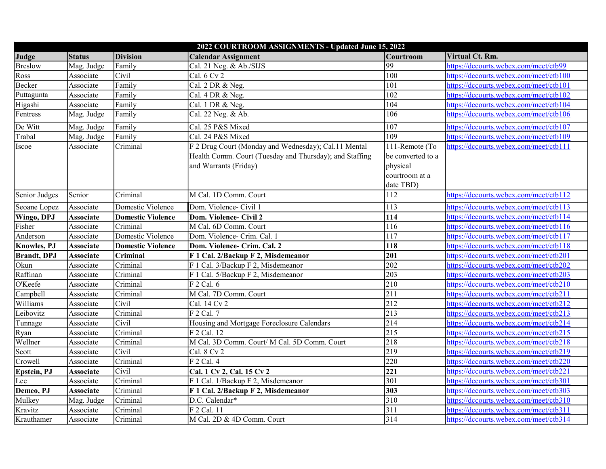| 2022 COURTROOM ASSIGNMENTS - Updated June 15, 2022 |                  |                          |                                                         |                   |                                        |  |
|----------------------------------------------------|------------------|--------------------------|---------------------------------------------------------|-------------------|----------------------------------------|--|
| Judge                                              | <b>Status</b>    | <b>Division</b>          | <b>Calendar Assignment</b>                              | Courtroom         | Virtual Ct. Rm.                        |  |
| <b>Breslow</b>                                     | Mag. Judge       | Family                   | Cal. 21 Neg. & Ab./SIJS                                 | 99                | https://dccourts.webex.com/meet/ctb99  |  |
| Ross                                               | Associate        | Civil                    | Cal. 6 Cv 2                                             | $\overline{100}$  | https://dccourts.webex.com/meet/ctb100 |  |
| Becker                                             | Associate        | Family                   | Cal. 2 DR & Neg.                                        | 101               | https://dccourts.webex.com/meet/ctb101 |  |
| Puttagunta                                         | Associate        | Family                   | Cal. 4 DR & Neg.                                        | 102               | https://dccourts.webex.com/meet/ctb102 |  |
| Higashi                                            | Associate        | Family                   | Cal. 1 DR & Neg.                                        | 104               | https://dccourts.webex.com/meet/ctb104 |  |
| Fentress                                           | Mag. Judge       | Family                   | Cal. 22 Neg. & Ab.                                      | 106               | https://dccourts.webex.com/meet/ctb106 |  |
| De Witt                                            | Mag. Judge       | Family                   | Cal. 25 P&S Mixed                                       | 107               | https://dccourts.webex.com/meet/ctb107 |  |
| Trabal                                             | Mag. Judge       | Family                   | Cal. 24 P&S Mixed                                       | 109               | https://dccourts.webex.com/meet/ctb109 |  |
| Iscoe                                              | Associate        | Criminal                 | F 2 Drug Court (Monday and Wednesday); Cal.11 Mental    | 111-Remote (To    | https://dccourts.webex.com/meet/ctb111 |  |
|                                                    |                  |                          | Health Comm. Court (Tuesday and Thursday); and Staffing | be converted to a |                                        |  |
|                                                    |                  |                          | and Warrants (Friday)                                   | physical          |                                        |  |
|                                                    |                  |                          |                                                         | courtroom at a    |                                        |  |
|                                                    |                  |                          |                                                         | date TBD)         |                                        |  |
| Senior Judges                                      | Senior           | Criminal                 | M Cal. 1D Comm. Court                                   | 112               | https://dccourts.webex.com/meet/ctb112 |  |
| Seoane Lopez                                       | Associate        | Domestic Violence        | Dom. Violence- Civil 1                                  | 113               | https://dccourts.webex.com/meet/ctb113 |  |
| Wingo, DPJ                                         | <b>Associate</b> | <b>Domestic Violence</b> | Dom. Violence- Civil 2                                  | 114               | https://dccourts.webex.com/meet/ctb114 |  |
| Fisher                                             | Associate        | Criminal                 | M Cal. 6D Comm. Court                                   | 116               | https://dccourts.webex.com/meet/ctb116 |  |
| Anderson                                           | Associate        | Domestic Violence        | Dom. Violence- Crim. Cal. 1                             | 117               | https://dccourts.webex.com/meet/ctb117 |  |
| <b>Knowles</b> , PJ                                | <b>Associate</b> | <b>Domestic Violence</b> | Dom. Violence- Crim. Cal. 2                             | 118               | https://dccourts.webex.com/meet/ctb118 |  |
| <b>Brandt</b> , DPJ                                | <b>Associate</b> | Criminal                 | F 1 Cal. 2/Backup F 2, Misdemeanor                      | 201               | https://dccourts.webex.com/meet/ctb201 |  |
| Okun                                               | Associate        | Criminal                 | F 1 Cal. 3/Backup F 2, Misdemeanor                      | 202               | https://dccourts.webex.com/meet/ctb202 |  |
| Raffinan                                           | Associate        | Criminal                 | F 1 Cal. 5/Backup F 2, Misdemeanor                      | 203               | https://dccourts.webex.com/meet/ctb203 |  |
| O'Keefe                                            | Associate        | Criminal                 | F 2 Cal. 6                                              | 210               | https://dccourts.webex.com/meet/ctb210 |  |
| Campbell                                           | Associate        | Criminal                 | M Cal. 7D Comm. Court                                   | 211               | https://dccourts.webex.com/meet/ctb211 |  |
| Williams                                           | Associate        | Civil                    | Cal. 14 Cv 2                                            | 212               | https://dccourts.webex.com/meet/ctb212 |  |
| Leibovitz                                          | Associate        | Criminal                 | F 2 Cal. 7                                              | 213               | https://dccourts.webex.com/meet/ctb213 |  |
| Tunnage                                            | Associate        | Civil                    | Housing and Mortgage Foreclosure Calendars              | 214               | https://dccourts.webex.com/meet/ctb214 |  |
| Ryan                                               | Associate        | Criminal                 | F 2 Cal. 12                                             | $\overline{215}$  | https://dccourts.webex.com/meet/ctb215 |  |
| Wellner                                            | Associate        | Criminal                 | M Cal. 3D Comm. Court/ M Cal. 5D Comm. Court            | 218               | https://dccourts.webex.com/meet/ctb218 |  |
| Scott                                              | Associate        | Civil                    | Cal. 8 Cv 2                                             | 219               | https://dccourts.webex.com/meet/ctb219 |  |
| Crowell                                            | Associate        | Criminal                 | F 2 Cal. 4                                              | 220               | https://dccourts.webex.com/meet/ctb220 |  |
| Epstein, PJ                                        | <b>Associate</b> | Civil                    | Cal. 1 Cv 2, Cal. 15 Cv 2                               | 221               | https://dccourts.webex.com/meet/ctb221 |  |
| Lee                                                | Associate        | Criminal                 | F 1 Cal. 1/Backup F 2, Misdemeanor                      | 301               | https://dccourts.webex.com/meet/ctb301 |  |
| Demeo, PJ                                          | <b>Associate</b> | Criminal                 | F 1 Cal. 2/Backup F 2, Misdemeanor                      | 303               | https://dccourts.webex.com/meet/ctb303 |  |
| Mulkey                                             | Mag. Judge       | Criminal                 | D.C. Calendar*                                          | 310               | https://dccourts.webex.com/meet/ctb310 |  |
| Kravitz                                            | Associate        | Criminal                 | F 2 Cal. 11                                             | 311               | https://dccourts.webex.com/meet/ctb311 |  |
| Krauthamer                                         | Associate        | Criminal                 | M Cal. 2D & 4D Comm. Court                              | 314               | https://dccourts.webex.com/meet/ctb314 |  |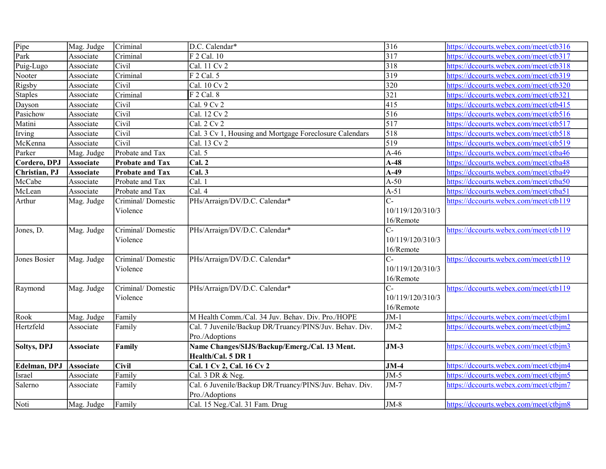| Pipe               | Mag. Judge       | Criminal               | D.C. Calendar*                                          | 316              | https://dccourts.webex.com/meet/ctb316         |
|--------------------|------------------|------------------------|---------------------------------------------------------|------------------|------------------------------------------------|
| Park               | Associate        | Criminal               | F 2 Cal. 10                                             | $\sqrt{317}$     | https://dccourts.webex.com/meet/ctb317         |
| Puig-Lugo          | Associate        | Civil                  | Cal. 11 Cv 2                                            | 318              | https://dccourts.webex.com/meet/ctb318         |
| Nooter             | Associate        | Criminal               | F 2 Cal. 5                                              | $319$            | https://dccourts.webex.com/meet/ctb319         |
| Rigsby             | Associate        | Civil                  | Cal. 10 Cv 2                                            | 320              | https://dccourts.webex.com/meet/ctb320         |
| <b>Staples</b>     | Associate        | Criminal               | $\overline{F}$ 2 Cal. 8                                 | 321              | https:// <u>dccourts.webex.com/meet/ctb321</u> |
| Dayson             | Associate        | Civil                  | Cal. $9$ Cv $2$                                         | $\overline{415}$ | https://dccourts.webex.com/meet/ctb415         |
| Pasichow           | Associate        | Civil                  | Cal. 12 Cv 2                                            | 516              | https://dccourts.webex.com/meet/ctb516         |
| Matini             | Associate        | Civil                  | Cal. 2 Cv 2                                             | $\overline{517}$ | https://dccourts.webex.com/meet/ctb517         |
| Irving             | Associate        | Civil                  | Cal. 3 Cv 1, Housing and Mortgage Foreclosure Calendars | $\overline{518}$ | https://dccourts.webex.com/meet/ctb518         |
| McKenna            | Associate        | Civil                  | Cal. 13 Cv 2                                            | $\sqrt{519}$     | https://dccourts.webex.com/meet/ctb519         |
| Parker             | Mag. Judge       | Probate and Tax        | Cal. 5                                                  | $A-46$           | https://dccourts.webex.com/meet/ctba46         |
| Cordero, DPJ       | <b>Associate</b> | <b>Probate and Tax</b> | Cal. 2                                                  | $A-48$           | https://dccourts.webex.com/meet/ctba48         |
| Christian, PJ      | <b>Associate</b> | <b>Probate and Tax</b> | CaI.3                                                   | $A-49$           | https://dccourts.webex.com/meet/ctba49         |
| McCabe             | Associate        | Probate and Tax        | Cal. 1                                                  | $A-50$           | https://dccourts.webex.com/meet/ctba50         |
| McLean             | Associate        | Probate and Tax        | Cal. 4                                                  | $A-51$           | https://dccourts.webex.com/meet/ctba51         |
| Arthur             | Mag. Judge       | Criminal/Domestic      | PHs/Arraign/DV/D.C. Calendar*                           | $C-$             | https://dccourts.webex.com/meet/ctb119         |
|                    |                  | Violence               |                                                         | 10/119/120/310/3 |                                                |
|                    |                  |                        |                                                         | 16/Remote        |                                                |
| Jones, D.          | Mag. Judge       | Criminal/Domestic      | PHs/Arraign/DV/D.C. Calendar*                           | $ C -$           | https://dccourts.webex.com/meet/ctb119         |
|                    |                  | Violence               |                                                         | 10/119/120/310/3 |                                                |
|                    |                  |                        |                                                         | 16/Remote        |                                                |
| Jones Bosier       | Mag. Judge       | Criminal/Domestic      | PHs/Arraign/DV/D.C. Calendar*                           | lc-              | https://dccourts.webex.com/meet/ctb119         |
|                    |                  | Violence               |                                                         | 10/119/120/310/3 |                                                |
|                    |                  |                        |                                                         | 16/Remote        |                                                |
| Raymond            | Mag. Judge       | Criminal/Domestic      | PHs/Arraign/DV/D.C. Calendar*                           | lc-              | https://dccourts.webex.com/meet/ctb119         |
|                    |                  | Violence               |                                                         | 10/119/120/310/3 |                                                |
|                    |                  |                        |                                                         | 16/Remote        |                                                |
| Rook               | Mag. Judge       | Family                 | M Health Comm./Cal. 34 Juv. Behav. Div. Pro./HOPE       | $JM-1$           | https://dccourts.webex.com/meet/ctbjm1         |
| Hertzfeld          | Associate        | Family                 | Cal. 7 Juvenile/Backup DR/Truancy/PINS/Juv. Behav. Div. | $JM-2$           | https://dccourts.webex.com/meet/ctbjm2         |
|                    |                  |                        | Pro./Adoptions                                          |                  |                                                |
| <b>Soltys, DPJ</b> | <b>Associate</b> | Family                 | Name Changes/SIJS/Backup/Emerg./Cal. 13 Ment.           | $JM-3$           | https://dccourts.webex.com/meet/ctbjm3         |
|                    |                  |                        | Health/Cal. 5 DR 1                                      |                  |                                                |
| Edelman, DPJ       | <b>Associate</b> | <b>Civil</b>           | Cal. 1 Cv 2, Cal. 16 Cv 2                               | $JM-4$           | https://dccourts.webex.com/meet/ctbjm4         |
| Israel             | Associate        | Family                 | Cal. 3 DR & Neg.                                        | $JM-5$           | https://dccourts.webex.com/meet/ctbjm5         |
| Salerno            | Associate        | Family                 | Cal. 6 Juvenile/Backup DR/Truancy/PINS/Juv. Behav. Div. | $JM-7$           | https://dccourts.webex.com/meet/ctbjm7         |
|                    |                  |                        | Pro./Adoptions                                          |                  |                                                |
| Noti               | Mag. Judge       | Family                 | Cal. 15 Neg./Cal. 31 Fam. Drug                          | $JM-8$           | https://dccourts.webex.com/meet/ctbjm8         |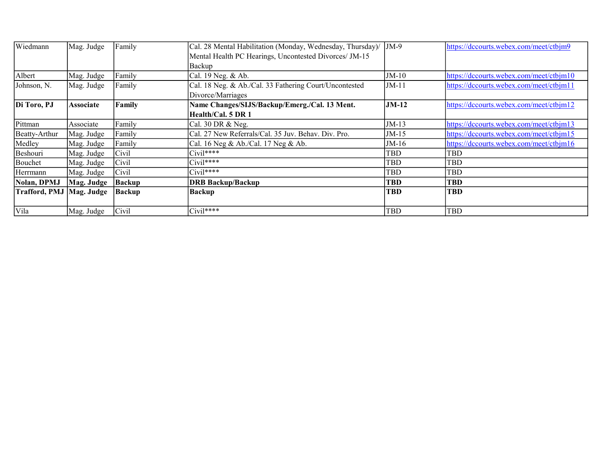| Wiedmann                   | Mag. Judge       | Family        | Cal. 28 Mental Habilitation (Monday, Wednesday, Thursday)/ JM-9 |            | https://dccourts.webex.com/meet/ctbjm9  |
|----------------------------|------------------|---------------|-----------------------------------------------------------------|------------|-----------------------------------------|
|                            |                  |               | Mental Health PC Hearings, Uncontested Divorces/ JM-15          |            |                                         |
|                            |                  |               | Backup                                                          |            |                                         |
| Albert                     | Mag. Judge       | Family        | Cal. 19 Neg. & Ab.                                              | $JM-10$    | https://dccourts.webex.com/meet/ctbjm10 |
| Johnson, N.                | Mag. Judge       | Family        | Cal. 18 Neg. & Ab./Cal. 33 Fathering Court/Uncontested          | $JM-11$    | https://dccourts.webex.com/meet/ctbjm11 |
|                            |                  |               | Divorce/Marriages                                               |            |                                         |
| Di Toro, PJ                | <b>Associate</b> | Family        | Name Changes/SIJS/Backup/Emerg./Cal. 13 Ment.                   | $JM-12$    | https://dccourts.webex.com/meet/ctbjm12 |
|                            |                  |               | Health/Cal. 5 DR 1                                              |            |                                         |
| Pittman                    | Associate        | Family        | Cal. 30 DR & Neg.                                               | $JM-13$    | https://dccourts.webex.com/meet/ctbjm13 |
| Beatty-Arthur              | Mag. Judge       | Family        | Cal. 27 New Referrals/Cal. 35 Juv. Behav. Div. Pro.             | $JM-15$    | https://dccourts.webex.com/meet/ctbjm15 |
| Medley                     | Mag. Judge       | Family        | Cal. 16 Neg & Ab./Cal. 17 Neg & Ab.                             | $JM-16$    | https://dccourts.webex.com/meet/ctbjm16 |
| Beshouri                   | Mag. Judge       | Civil         | $Civil***$                                                      | TBD        | TBD                                     |
| Bouchet                    | Mag. Judge       | Civil         | $Civil***$                                                      | TBD        | <b>TBD</b>                              |
| Herrmann                   | Mag. Judge       | Civil         | $Civil***$                                                      | TBD        | <b>TBD</b>                              |
| Nolan, DPMJ                | Mag. Judge       | <b>Backup</b> | <b>DRB Backup/Backup</b>                                        | <b>TBD</b> | <b>TBD</b>                              |
| Trafford, PMJ   Mag. Judge |                  | <b>Backup</b> | <b>Backup</b>                                                   | <b>TBD</b> | <b>TBD</b>                              |
|                            |                  |               |                                                                 |            |                                         |
| <b>Vila</b>                | Mag. Judge       | Civil         | $\overline{\text{Civil}}^{***}$                                 | TBD        | <b>TBD</b>                              |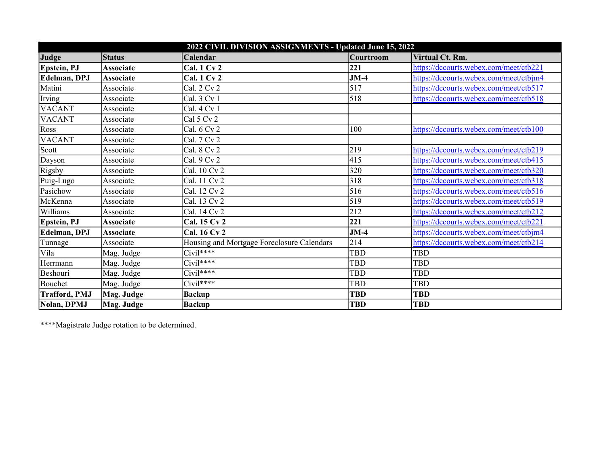| 2022 CIVIL DIVISION ASSIGNMENTS - Updated June 15, 2022 |                  |                                            |            |                                        |  |
|---------------------------------------------------------|------------------|--------------------------------------------|------------|----------------------------------------|--|
| Judge                                                   | <b>Status</b>    | Calendar                                   | Courtroom  | Virtual Ct. Rm.                        |  |
| Epstein, PJ                                             | <b>Associate</b> | <b>Cal. 1 Cv 2</b>                         | 221        | https://dccourts.webex.com/meet/ctb221 |  |
| Edelman, DPJ                                            | <b>Associate</b> | <b>Cal. 1 Cv 2</b>                         | $JM-4$     | https://dccourts.webex.com/meet/ctbjm4 |  |
| Matini                                                  | Associate        | Cal. 2 Cv 2                                | 517        | https://dccourts.webex.com/meet/ctb517 |  |
| Irving                                                  | Associate        | Cal. 3 Cv 1                                | 518        | https://dccourts.webex.com/meet/ctb518 |  |
| <b>VACANT</b>                                           | Associate        | Cal. 4 Cv 1                                |            |                                        |  |
| <b>VACANT</b>                                           | Associate        | Cal 5 Cv 2                                 |            |                                        |  |
| Ross                                                    | Associate        | Cal. 6 Cv 2                                | 100        | https://dccourts.webex.com/meet/ctb100 |  |
| <b>VACANT</b>                                           | Associate        | Cal. 7 Cv 2                                |            |                                        |  |
| Scott                                                   | Associate        | Cal. 8 Cv 2                                | 219        | https://dccourts.webex.com/meet/ctb219 |  |
| Dayson                                                  | Associate        | Cal. 9 Cv 2                                | 415        | https://dccourts.webex.com/meet/ctb415 |  |
| Rigsby                                                  | Associate        | Cal. 10 Cv 2                               | 320        | https://dccourts.webex.com/meet/ctb320 |  |
| Puig-Lugo                                               | Associate        | Cal. 11 Cv 2                               | 318        | https://dccourts.webex.com/meet/ctb318 |  |
| Pasichow                                                | Associate        | Cal. 12 Cv 2                               | 516        | https://dccourts.webex.com/meet/ctb516 |  |
| McKenna                                                 | Associate        | Cal. 13 Cv 2                               | 519        | https://dccourts.webex.com/meet/ctb519 |  |
| Williams                                                | Associate        | Cal. 14 Cv 2                               | 212        | https://dccourts.webex.com/meet/ctb212 |  |
| <b>Epstein, PJ</b>                                      | <b>Associate</b> | Cal. 15 Cv 2                               | 221        | https://dccourts.webex.com/meet/ctb221 |  |
| Edelman, DPJ                                            | <b>Associate</b> | Cal. 16 Cv 2                               | $JM-4$     | https://dccourts.webex.com/meet/ctbjm4 |  |
| Tunnage                                                 | Associate        | Housing and Mortgage Foreclosure Calendars | 214        | https://dccourts.webex.com/meet/ctb214 |  |
| Vila                                                    | Mag. Judge       | $Civil***$                                 | <b>TBD</b> | <b>TBD</b>                             |  |
| Herrmann                                                | Mag. Judge       | $Civil***$                                 | <b>TBD</b> | <b>TBD</b>                             |  |
| Beshouri                                                | Mag. Judge       | $Civil****$                                | <b>TBD</b> | <b>TBD</b>                             |  |
| Bouchet                                                 | Mag. Judge       | $Civil$ ****                               | <b>TBD</b> | <b>TBD</b>                             |  |
| <b>Trafford, PMJ</b>                                    | Mag. Judge       | <b>Backup</b>                              | <b>TBD</b> | <b>TBD</b>                             |  |
| Nolan, DPMJ                                             | Mag. Judge       | <b>Backup</b>                              | <b>TBD</b> | <b>TBD</b>                             |  |

\*\*\*\*Magistrate Judge rotation to be determined.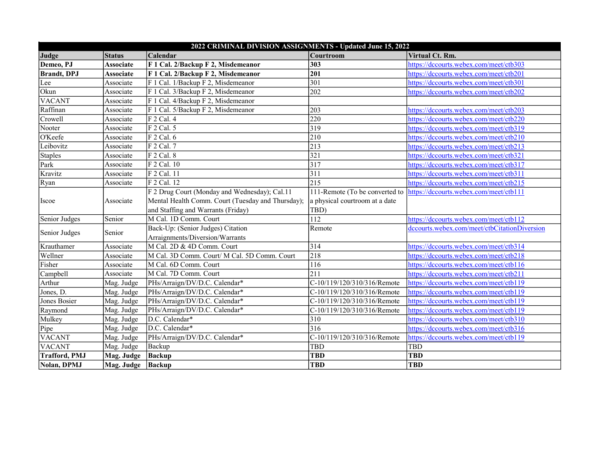| 2022 CRIMINAL DIVISION ASSIGNMENTS - Updated June 15, 2022 |                     |                                                   |                                |                                              |  |  |
|------------------------------------------------------------|---------------------|---------------------------------------------------|--------------------------------|----------------------------------------------|--|--|
| Judge                                                      | <b>Status</b>       | Calendar                                          | Courtroom                      | Virtual Ct. Rm.                              |  |  |
| Demeo, PJ                                                  | <b>Associate</b>    | F 1 Cal. 2/Backup F 2, Misdemeanor                | 303                            | https://dccourts.webex.com/meet/ctb303       |  |  |
| <b>Brandt</b> , DPJ                                        | <b>Associate</b>    | F 1 Cal. 2/Backup F 2, Misdemeanor                | 201                            | https://dccourts.webex.com/meet/ctb201       |  |  |
| Lee                                                        | Associate           | F 1 Cal. 1/Backup F 2, Misdemeanor                | 301                            | https://dccourts.webex.com/meet/ctb301       |  |  |
| Okun                                                       | Associate           | F 1 Cal. 3/Backup F 2, Misdemeanor                | 202                            | https://dccourts.webex.com/meet/ctb202       |  |  |
| <b>VACANT</b>                                              | Associate           | F 1 Cal. 4/Backup F 2, Misdemeanor                |                                |                                              |  |  |
| Raffinan                                                   | Associate           | F 1 Cal. 5/Backup F 2, Misdemeanor                | 203                            | https://dccourts.webex.com/meet/ctb203       |  |  |
| Crowell                                                    | Associate           | F 2 Cal. 4                                        | 220                            | https://dccourts.webex.com/meet/ctb220       |  |  |
| Nooter                                                     | Associate           | F 2 Cal. 5                                        | 319                            | https://dccourts.webex.com/meet/ctb319       |  |  |
| O'Keefe                                                    | Associate           | F 2 Cal. 6                                        | 210                            | https://dccourts.webex.com/meet/ctb210       |  |  |
| Leibovitz                                                  | Associate           | F 2 Cal. 7                                        | $\overline{213}$               | https://dccourts.webex.com/meet/ctb213       |  |  |
| <b>Staples</b>                                             | Associate           | F 2 Cal. 8                                        | 321                            | https://dccourts.webex.com/meet/ctb321       |  |  |
| Park                                                       | Associate           | F 2 Cal. 10                                       | 317                            | https://dccourts.webex.com/meet/ctb317       |  |  |
| Kravitz                                                    | Associate           | F 2 Cal. 11                                       | 311                            | https://dccourts.webex.com/meet/ctb311       |  |  |
| Ryan                                                       | Associate           | F 2 Cal. 12                                       | 215                            | https://dccourts.webex.com/meet/ctb215       |  |  |
|                                                            |                     | F 2 Drug Court (Monday and Wednesday); Cal.11     | 111-Remote (To be converted to | https://dccourts.webex.com/meet/ctb111       |  |  |
| <b>Iscoe</b>                                               | Associate           | Mental Health Comm. Court (Tuesday and Thursday); | a physical courtroom at a date |                                              |  |  |
|                                                            |                     | and Staffing and Warrants (Friday)                | TBD)                           |                                              |  |  |
| Senior Judges                                              | Senior              | M Cal. 1D Comm. Court                             | 112                            | https://dccourts.webex.com/meet/ctb112       |  |  |
|                                                            | Senior              | Back-Up: (Senior Judges) Citation                 | Remote                         | dccourts.webex.com/meet/ctbCitationDiversion |  |  |
| Senior Judges                                              |                     | Arraignments/Diversion/Warrants                   |                                |                                              |  |  |
| Krauthamer                                                 | Associate           | M Cal. 2D & 4D Comm. Court                        | 314                            | https://dccourts.webex.com/meet/ctb314       |  |  |
| Wellner                                                    | Associate           | M Cal. 3D Comm. Court/ M Cal. 5D Comm. Court      | 218                            | https://dccourts.webex.com/meet/ctb218       |  |  |
| Fisher                                                     | Associate           | M Cal. 6D Comm. Court                             | $\overline{116}$               | https://dccourts.webex.com/meet/ctb116       |  |  |
| Campbell                                                   | Associate           | M Cal. 7D Comm. Court                             | 211                            | https://dccourts.webex.com/meet/ctb211       |  |  |
| Arthur                                                     | Mag. Judge          | PHs/Arraign/DV/D.C. Calendar*                     | C-10/119/120/310/316/Remote    | https://dccourts.webex.com/meet/ctb119       |  |  |
| Jones, D.                                                  | Mag. Judge          | PHs/Arraign/DV/D.C. Calendar*                     | C-10/119/120/310/316/Remote    | https://dccourts.webex.com/meet/ctb119       |  |  |
| Jones Bosier                                               | Mag. Judge          | PHs/Arraign/DV/D.C. Calendar*                     | C-10/119/120/310/316/Remote    | https://dccourts.webex.com/meet/ctb119       |  |  |
| Raymond                                                    | Mag. Judge          | PHs/Arraign/DV/D.C. Calendar*                     | C-10/119/120/310/316/Remote    | https://dccourts.webex.com/meet/ctb119       |  |  |
| Mulkey                                                     | Mag. Judge          | D.C. Calendar*                                    | 310                            | https://dccourts.webex.com/meet/ctb310       |  |  |
| Pipe                                                       | Mag. Judge          | D.C. Calendar*                                    | 316                            | https://dccourts.webex.com/meet/ctb316       |  |  |
| <b>VACANT</b>                                              | Mag. Judge          | PHs/Arraign/DV/D.C. Calendar*                     | C-10/119/120/310/316/Remote    | https://dccourts.webex.com/meet/ctb119       |  |  |
| <b>VACANT</b>                                              | Mag. Judge          | Backup                                            | <b>TBD</b>                     | <b>TBD</b>                                   |  |  |
| <b>Trafford, PMJ</b>                                       | Mag. Judge          | <b>Backup</b>                                     | <b>TBD</b>                     | <b>TBD</b>                                   |  |  |
| Nolan, DPMJ                                                | Mag. Judge   Backup |                                                   | <b>TBD</b>                     | <b>TBD</b>                                   |  |  |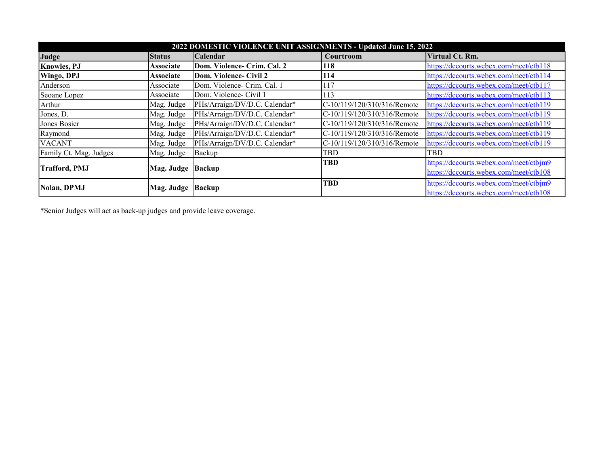| 2022 DOMESTIC VIOLENCE UNIT ASSIGNMENTS - Updated June 15, 2022 |                     |                               |                             |                                        |  |
|-----------------------------------------------------------------|---------------------|-------------------------------|-----------------------------|----------------------------------------|--|
| Judge                                                           | <b>Status</b>       | <b>Calendar</b>               | Courtroom                   | Virtual Ct. Rm.                        |  |
| <b>Knowles</b> , PJ                                             | <b>Associate</b>    | Dom. Violence- Crim. Cal. 2   | 118                         | https://dccourts.webex.com/meet/ctb118 |  |
| <b>Wingo, DPJ</b>                                               | <b>Associate</b>    | Dom. Violence- Civil 2        | 114                         | https://dccourts.webex.com/meet/ctb114 |  |
| Anderson                                                        | Associate           | Dom. Violence- Crim. Cal. 1   | 117                         | https://dccourts.webex.com/meet/ctb117 |  |
| Seoane Lopez                                                    | Associate           | Dom. Violence- Civil 1        | 113                         | https://dccourts.webex.com/meet/ctb113 |  |
| Arthur                                                          | Mag. Judge          | PHs/Arraign/DV/D.C. Calendar* | C-10/119/120/310/316/Remote | https://dccourts.webex.com/meet/ctb119 |  |
| Jones, D.                                                       | Mag. Judge          | PHs/Arraign/DV/D.C. Calendar* | C-10/119/120/310/316/Remote | https://dccourts.webex.com/meet/ctb119 |  |
| Jones Bosier                                                    | Mag. Judge          | PHs/Arraign/DV/D.C. Calendar* | C-10/119/120/310/316/Remote | https://dccourts.webex.com/meet/ctb119 |  |
| Raymond                                                         | Mag. Judge          | PHs/Arraign/DV/D.C. Calendar* | C-10/119/120/310/316/Remote | https://dccourts.webex.com/meet/ctb119 |  |
| <b>VACANT</b>                                                   | Mag. Judge          | PHs/Arraign/DV/D.C. Calendar* | C-10/119/120/310/316/Remote | https://dccourts.webex.com/meet/ctb119 |  |
| Family Ct. Mag. Judges                                          | Mag. Judge          | Backup                        | TBD                         | TBD                                    |  |
|                                                                 |                     |                               | TBD                         | https://dccourts.webex.com/meet/ctbjm9 |  |
| <b>Trafford, PMJ</b>                                            | Mag. Judge          | Backup                        |                             | https://dccourts.webex.com/meet/ctb108 |  |
| Nolan, DPMJ                                                     |                     |                               | TBD                         | https://dccourts.webex.com/meet/ctbjm9 |  |
|                                                                 | Mag. Judge   Backup |                               |                             | https://dccourts.webex.com/meet/ctb108 |  |

\*Senior Judges will act as back-up judges and provide leave coverage.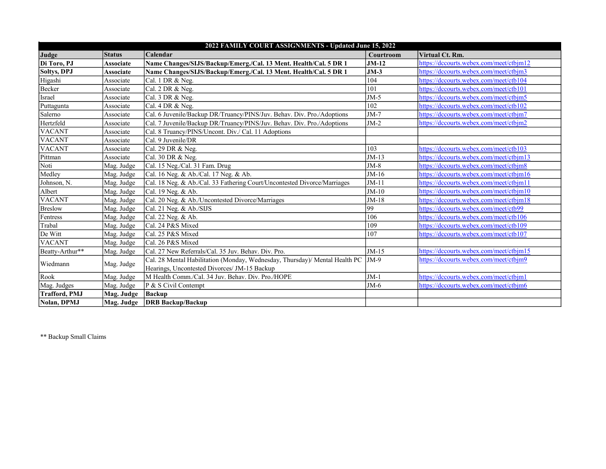| 2022 FAMILY COURT ASSIGNMENTS - Updated June 15, 2022 |                  |                                                                             |           |                                         |  |  |
|-------------------------------------------------------|------------------|-----------------------------------------------------------------------------|-----------|-----------------------------------------|--|--|
| Judge                                                 | <b>Status</b>    | Calendar                                                                    | Courtroom | Virtual Ct. Rm.                         |  |  |
| Di Toro, PJ                                           | Associate        | Name Changes/SIJS/Backup/Emerg./Cal. 13 Ment. Health/Cal. 5 DR 1            | $JM-12$   | https://dccourts.webex.com/meet/ctbjm12 |  |  |
| <b>Soltys, DPJ</b>                                    | <b>Associate</b> | Name Changes/SIJS/Backup/Emerg./Cal. 13 Ment. Health/Cal. 5 DR 1            | $JM-3$    | https://dccourts.webex.com/meet/ctbim3  |  |  |
| Higashi                                               | Associate        | Cal. 1 DR & Neg.                                                            | 104       | https://dccourts.webex.com/meet/ctb104  |  |  |
| Becker                                                | Associate        | Cal. 2 DR & Neg.                                                            | 101       | https://dccourts.webex.com/meet/ctb101  |  |  |
| Israel                                                | Associate        | Cal. 3 DR & Neg.                                                            | $JM-5$    | https://dccourts.webex.com/meet/ctbjm5  |  |  |
| Puttagunta                                            | Associate        | Cal. 4 DR & Neg.                                                            | 102       | https://dccourts.webex.com/meet/ctb102  |  |  |
| Salerno                                               | Associate        | Cal. 6 Juvenile/Backup DR/Truancy/PINS/Juv. Behav. Div. Pro./Adoptions      | $JM-7$    | https://dccourts.webex.com/meet/ctbjm7  |  |  |
| Hertzfeld                                             | Associate        | Cal. 7 Juvenile/Backup DR/Truancy/PINS/Juv. Behav. Div. Pro./Adoptions      | $JM-2$    | https://dccourts.webex.com/meet/ctbjm2  |  |  |
| <b>VACANT</b>                                         | Associate        | Cal. 8 Truancy/PINS/Uncont. Div./ Cal. 11 Adoptions                         |           |                                         |  |  |
| <b>VACANT</b>                                         | Associate        | Cal. 9 Juvenile/DR                                                          |           |                                         |  |  |
| <b>VACANT</b>                                         | Associate        | Cal. 29 DR & Neg.                                                           | 103       | https://dccourts.webex.com/meet/ctb103  |  |  |
| Pittman                                               | Associate        | Cal. 30 DR & Neg.                                                           | $JM-13$   | https://dccourts.webex.com/meet/ctbjm13 |  |  |
| Noti                                                  | Mag. Judge       | Cal. 15 Neg./Cal. 31 Fam. Drug                                              | $JM-8$    | https://dccourts.webex.com/meet/ctbjm8  |  |  |
| Medley                                                | Mag. Judge       | Cal. 16 Neg. & Ab./Cal. 17 Neg. & Ab.                                       | $JM-16$   | https://dccourts.webex.com/meet/ctbim16 |  |  |
| Johnson, N.                                           | Mag. Judge       | Cal. 18 Neg. & Ab./Cal. 33 Fathering Court/Uncontested Divorce/Marriages    | $JM-11$   | https://dccourts.webex.com/meet/ctbjm11 |  |  |
| Albert                                                | Mag. Judge       | Cal. 19 Neg. & Ab.                                                          | $JM-10$   | https://dccourts.webex.com/meet/ctbjm10 |  |  |
| <b>VACANT</b>                                         | Mag. Judge       | Cal. 20 Neg. & Ab./Uncontested Divorce/Marriages                            | $JM-18$   | https://dccourts.webex.com/meet/ctbjm18 |  |  |
| <b>Breslow</b>                                        | Mag. Judge       | Cal. 21 Neg. & Ab./SIJS                                                     | 99        | https://dccourts.webex.com/meet/ctb99   |  |  |
| Fentress                                              | Mag. Judge       | Cal. 22 Neg. & Ab.                                                          | 106       | https://dccourts.webex.com/meet/ctb106  |  |  |
| Trabal                                                | Mag. Judge       | Cal. 24 P&S Mixed                                                           | 109       | https://dccourts.webex.com/meet/ctb109  |  |  |
| De Witt                                               | Mag. Judge       | Cal. 25 P&S Mixed                                                           | 107       | https://dccourts.webex.com/meet/ctb107  |  |  |
| <b>VACANT</b>                                         | Mag. Judge       | Cal. 26 P&S Mixed                                                           |           |                                         |  |  |
| Beatty-Arthur**                                       | Mag. Judge       | Cal. 27 New Referrals/Cal. 35 Juv. Behav. Div. Pro.                         | $JM-15$   | https://dccourts.webex.com/meet/ctbim15 |  |  |
| Wiedmann                                              | Mag. Judge       | Cal. 28 Mental Habilitation (Monday, Wednesday, Thursday)/ Mental Health PC | $JM-9$    | https://dccourts.webex.com/meet/ctbjm9  |  |  |
|                                                       |                  | Hearings, Uncontested Divorces/ JM-15 Backup                                |           |                                         |  |  |
| Rook                                                  | Mag. Judge       | M Health Comm./Cal. 34 Juv. Behav. Div. Pro./HOPE                           | $JM-1$    | https://dccourts.webex.com/meet/ctbim1  |  |  |
| Mag. Judges                                           | Mag. Judge       | $\mathbf{P} \& \mathbf{S}$ Civil Contempt                                   | $JM-6$    | https://dccourts.webex.com/meet/ctbjm6  |  |  |
| <b>Trafford, PMJ</b>                                  | Mag. Judge       | Backup                                                                      |           |                                         |  |  |
| Nolan, DPMJ                                           | Mag. Judge       | <b>DRB</b> Backup/Backup                                                    |           |                                         |  |  |

\*\* Backup Small Claims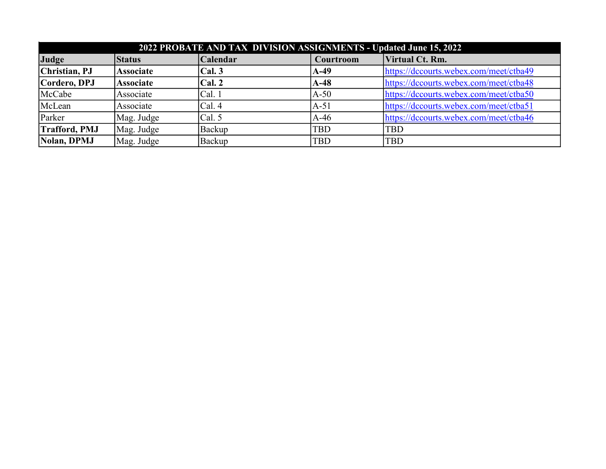| 2022 PROBATE AND TAX DIVISION ASSIGNMENTS - Updated June 15, 2022 |                  |          |                  |                                        |  |  |
|-------------------------------------------------------------------|------------------|----------|------------------|----------------------------------------|--|--|
| Judge                                                             | <b>Status</b>    | Calendar | Courtroom        | Virtual Ct. Rm.                        |  |  |
| Christian, PJ                                                     | <b>Associate</b> | Cal. 3   | A-49             | https://dccourts.webex.com/meet/ctba49 |  |  |
| Cordero, DPJ                                                      | <b>Associate</b> | Cal. 2   | $\mathbf{A}$ -48 | https://dccourts.webex.com/meet/ctba48 |  |  |
| McCabe                                                            | Associate        | Cal. 1   | $A-50$           | https://dccourts.webex.com/meet/ctba50 |  |  |
| McLean                                                            | Associate        | Cal. 4   | $A-51$           | https://dccourts.webex.com/meet/ctba51 |  |  |
| Parker                                                            | Mag. Judge       | Cal. 5   | $A-46$           | https://dccourts.webex.com/meet/ctba46 |  |  |
| <b>Trafford, PMJ</b>                                              | Mag. Judge       | Backup   | <b>TBD</b>       | <b>TBD</b>                             |  |  |
| Nolan, DPMJ                                                       | Mag. Judge       | Backup   | <b>TBD</b>       | <b>TBD</b>                             |  |  |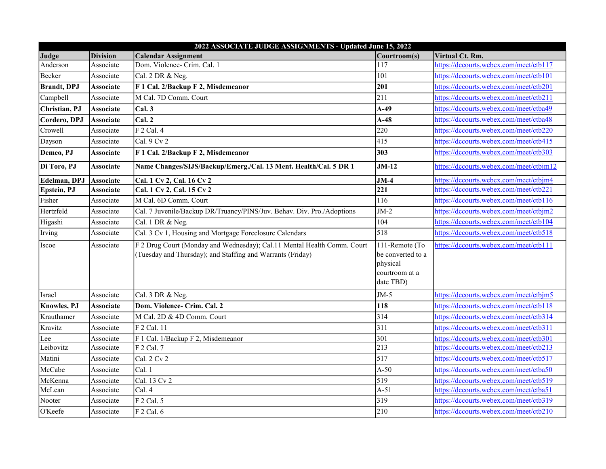|                     |                  | 2022 ASSOCIATE JUDGE ASSIGNMENTS - Updated June 15, 2022                                                                              |                                                                                |                                         |
|---------------------|------------------|---------------------------------------------------------------------------------------------------------------------------------------|--------------------------------------------------------------------------------|-----------------------------------------|
| Judge               | <b>Division</b>  | <b>Calendar Assignment</b>                                                                                                            | Courtroom(s)                                                                   | Virtual Ct. Rm.                         |
| Anderson            | Associate        | Dom. Violence- Crim. Cal. 1                                                                                                           | 117                                                                            | https://dccourts.webex.com/meet/ctb117  |
| Becker              | Associate        | Cal. 2 DR & Neg.                                                                                                                      | 101                                                                            | https://dccourts.webex.com/meet/ctb101  |
| <b>Brandt</b> , DPJ | <b>Associate</b> | F 1 Cal. 2/Backup F 2, Misdemeanor                                                                                                    | 201                                                                            | https://dccourts.webex.com/meet/ctb201  |
| Campbell            | Associate        | M Cal. 7D Comm. Court                                                                                                                 | 211                                                                            | https://dccourts.webex.com/meet/ctb211  |
| Christian, PJ       | <b>Associate</b> | Cal.3                                                                                                                                 | $A-49$                                                                         | https://dccourts.webex.com/meet/ctba49  |
| Cordero, DPJ        | <b>Associate</b> | Cal. 2                                                                                                                                | $A-48$                                                                         | https://dccourts.webex.com/meet/ctba48  |
| Crowell             | Associate        | $F$ 2 Cal. 4                                                                                                                          | 220                                                                            | https://dccourts.webex.com/meet/ctb220  |
| Dayson              | Associate        | Cal. $9$ Cv $2$                                                                                                                       | 415                                                                            | https://dccourts.webex.com/meet/ctb415  |
| Demeo, PJ           | <b>Associate</b> | F 1 Cal. 2/Backup F 2, Misdemeanor                                                                                                    | 303                                                                            | https://dccourts.webex.com/meet/ctb303  |
| Di Toro, PJ         | <b>Associate</b> | Name Changes/SIJS/Backup/Emerg./Cal. 13 Ment. Health/Cal. 5 DR 1                                                                      | $JM-12$                                                                        | https://dccourts.webex.com/meet/ctbjm12 |
| Edelman, DPJ        | Associate        | Cal. 1 Cv 2, Cal. 16 Cv 2                                                                                                             | $JM-4$                                                                         | https://dccourts.webex.com/meet/ctbjm4  |
| Epstein, PJ         | <b>Associate</b> | Cal. 1 Cv 2, Cal. 15 Cv 2                                                                                                             | 221                                                                            | https://dccourts.webex.com/meet/ctb221  |
| Fisher              | Associate        | M Cal. 6D Comm. Court                                                                                                                 | 116                                                                            | https://dccourts.webex.com/meet/ctb116  |
| Hertzfeld           | Associate        | Cal. 7 Juvenile/Backup DR/Truancy/PINS/Juv. Behav. Div. Pro./Adoptions                                                                | $JM-2$                                                                         | https://dccourts.webex.com/meet/ctbjm2  |
| Higashi             | Associate        | Cal. 1 DR & Neg.                                                                                                                      | 104                                                                            | https://dccourts.webex.com/meet/ctb104  |
| Irving              | Associate        | Cal. 3 Cv 1, Housing and Mortgage Foreclosure Calendars                                                                               | 518                                                                            | https://dccourts.webex.com/meet/ctb518  |
| Iscoe               | Associate        | F 2 Drug Court (Monday and Wednesday); Cal.11 Mental Health Comm. Court<br>(Tuesday and Thursday); and Staffing and Warrants (Friday) | 111-Remote (To<br>be converted to a<br>physical<br>courtroom at a<br>date TBD) | https://dccourts.webex.com/meet/ctb111  |
| Israel              | Associate        | Cal. 3 DR & Neg.                                                                                                                      | $JM-5$                                                                         | https://dccourts.webex.com/meet/ctbjm5  |
| <b>Knowles</b> , PJ | <b>Associate</b> | Dom. Violence- Crim. Cal. 2                                                                                                           | 118                                                                            | https://dccourts.webex.com/meet/ctb118  |
| Krauthamer          | Associate        | M Cal. 2D & 4D Comm. Court                                                                                                            | 314                                                                            | https://dccourts.webex.com/meet/ctb314  |
| Kravitz             | Associate        | F 2 Cal. 11                                                                                                                           | 311                                                                            | https://dccourts.webex.com/meet/ctb311  |
| Lee                 | Associate        | F 1 Cal. 1/Backup F 2, Misdemeanor                                                                                                    | 301                                                                            | https://dccourts.webex.com/meet/ctb301  |
| Leibovitz           | Associate        | $F$ 2 Cal. 7                                                                                                                          | 213                                                                            | https://dccourts.webex.com/meet/ctb213  |
| Matini              | Associate        | Cal. 2 Cv 2                                                                                                                           | 517                                                                            | https://dccourts.webex.com/meet/ctb517  |
| McCabe              | Associate        | Cal. 1                                                                                                                                | $A-50$                                                                         | https://dccourts.webex.com/meet/ctba50  |
| McKenna             | Associate        | Cal. 13 Cv 2                                                                                                                          | 519                                                                            | https://dccourts.webex.com/meet/ctb519  |
| McLean              | Associate        | Cal. 4                                                                                                                                | $A-51$                                                                         | https://dccourts.webex.com/meet/ctba51  |
| Nooter              | Associate        | $F$ 2 Cal. 5                                                                                                                          | 319                                                                            | https://dccourts.webex.com/meet/ctb319  |
| O'Keefe             | Associate        | $F$ 2 Cal. 6                                                                                                                          | 210                                                                            | https://dccourts.webex.com/meet/ctb210  |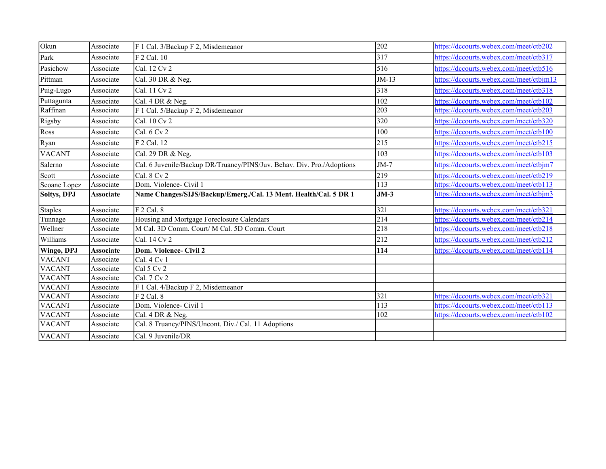| Okun               | Associate        | F 1 Cal. 3/Backup F 2, Misdemeanor                                     | 202     | https://dccourts.webex.com/meet/ctb202  |
|--------------------|------------------|------------------------------------------------------------------------|---------|-----------------------------------------|
| Park               | Associate        | $F$ 2 Cal. 10                                                          | 317     | https://dccourts.webex.com/meet/ctb317  |
| Pasichow           | Associate        | Cal. 12 Cv 2                                                           | 516     | https://dccourts.webex.com/meet/ctb516  |
| Pittman            | Associate        | Cal. 30 DR $&$ Neg.                                                    | $JM-13$ | https://dccourts.webex.com/meet/ctbjm13 |
| Puig-Lugo          | Associate        | Cal. 11 Cv 2                                                           | 318     | https://dccourts.webex.com/meet/ctb318  |
| Puttagunta         | Associate        | Cal. 4 DR & Neg.                                                       | 102     | https://dccourts.webex.com/meet/ctb102  |
| Raffinan           | Associate        | F 1 Cal. 5/Backup F 2, Misdemeanor                                     | 203     | https://dccourts.webex.com/meet/ctb203  |
| Rigsby             | Associate        | Cal. 10 Cv 2                                                           | 320     | https://dccourts.webex.com/meet/ctb320  |
| Ross               | Associate        | $ $ Cal. 6 Cv 2                                                        | 100     | https://dccourts.webex.com/meet/ctb100  |
| Ryan               | Associate        | F 2 Cal. 12                                                            | 215     | https://dccourts.webex.com/meet/ctb215  |
| <b>VACANT</b>      | Associate        | Cal. 29 DR & Neg.                                                      | 103     | https://dccourts.webex.com/meet/ctb103  |
| Salerno            | Associate        | Cal. 6 Juvenile/Backup DR/Truancy/PINS/Juv. Behav. Div. Pro./Adoptions | $JM-7$  | https://dccourts.webex.com/meet/ctbjm7  |
| Scott              | Associate        | Cal. 8 Cv 2                                                            | 219     | https://dccourts.webex.com/meet/ctb219  |
| Seoane Lopez       | Associate        | Dom. Violence- Civil 1                                                 | 113     | https://dccourts.webex.com/meet/ctb113  |
|                    |                  | Name Changes/SIJS/Backup/Emerg./Cal. 13 Ment. Health/Cal. 5 DR 1       | $JM-3$  | https://dccourts.webex.com/meet/ctbjm3  |
| <b>Soltys, DPJ</b> | <b>Associate</b> |                                                                        |         |                                         |
| <b>Staples</b>     | Associate        | F 2 Cal. 8                                                             | 321     | https://dccourts.webex.com/meet/ctb321  |
| Tunnage            | Associate        | Housing and Mortgage Foreclosure Calendars                             | 214     | https://dccourts.webex.com/meet/ctb214  |
| Wellner            | Associate        | M Cal. 3D Comm. Court/ M Cal. 5D Comm. Court                           | 218     | https://dccourts.webex.com/meet/ctb218  |
| Williams           | Associate        | Cal. 14 Cv 2                                                           | 212     | https://dccourts.webex.com/meet/ctb212  |
| Wingo, DPJ         | <b>Associate</b> | Dom. Violence- Civil 2                                                 | 114     | https://dccourts.webex.com/meet/ctb114  |
| <b>VACANT</b>      | Associate        | Cal. 4 Cv 1                                                            |         |                                         |
| <b>VACANT</b>      | Associate        | Cal 5 Cv 2                                                             |         |                                         |
| <b>VACANT</b>      | Associate        | Cal. 7 Cv 2                                                            |         |                                         |
| <b>VACANT</b>      | Associate        | F 1 Cal. 4/Backup F 2, Misdemeanor                                     |         |                                         |
| <b>VACANT</b>      | Associate        | $F 2$ Cal. 8                                                           | 321     | https://dccourts.webex.com/meet/ctb321  |
| <b>VACANT</b>      | Associate        | Dom. Violence- Civil 1                                                 | 113     | https://dccourts.webex.com/meet/ctb113  |
| <b>VACANT</b>      | Associate        | Cal. 4 DR & Neg.                                                       | 102     | https://dccourts.webex.com/meet/ctb102  |
| <b>VACANT</b>      | Associate        | Cal. 8 Truancy/PINS/Uncont. Div./ Cal. 11 Adoptions                    |         |                                         |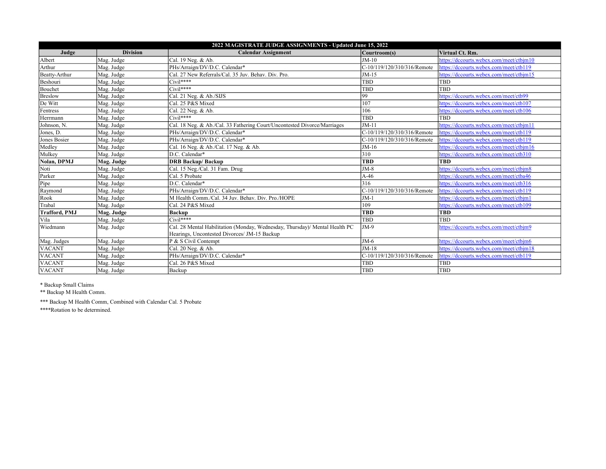| 2022 MAGISTRATE JUDGE ASSIGNMENTS - Updated June 15, 2022 |                 |                                                                             |                             |                                         |  |  |  |
|-----------------------------------------------------------|-----------------|-----------------------------------------------------------------------------|-----------------------------|-----------------------------------------|--|--|--|
| Judge                                                     | <b>Division</b> | <b>Calendar Assignment</b>                                                  | Courtroom(s)                | Virtual Ct. Rm.                         |  |  |  |
| Albert                                                    | Mag. Judge      | Cal. 19 Neg. & Ab.                                                          | $JM-10$                     | https://dccourts.webex.com/meet/ctbim10 |  |  |  |
| Arthur                                                    | Mag. Judge      | PHs/Arraign/DV/D.C. Calendar*                                               | C-10/119/120/310/316/Remote | https://dccourts.webex.com/meet/ctb119  |  |  |  |
| Beatty-Arthur                                             | Mag. Judge      | Cal. 27 New Referrals/Cal. 35 Juv. Behav. Div. Pro.                         | $JM-15$                     | https://dccourts.webex.com/meet/ctbim15 |  |  |  |
| Beshouri                                                  | Mag. Judge      | $Civil***$                                                                  | <b>TBD</b>                  | <b>TBD</b>                              |  |  |  |
| Bouchet                                                   | Mag. Judge      | $Civil***$                                                                  | TBD                         | <b>TBD</b>                              |  |  |  |
| <b>Breslow</b>                                            | Mag. Judge      | Cal. 21 Neg. & Ab./SIJS                                                     | 99                          | https://dccourts.webex.com/meet/ctb99   |  |  |  |
| De Witt                                                   | Mag. Judge      | Cal. 25 P&S Mixed                                                           | 107                         | https://dccourts.webex.com/meet/ctb107  |  |  |  |
| Fentress                                                  | Mag. Judge      | Cal. 22 Neg. & Ab.                                                          | 106                         | https://dccourts.webex.com/meet/ctb106  |  |  |  |
| Herrmann                                                  | Mag. Judge      | $Civil***$                                                                  | <b>TBD</b>                  | <b>TBD</b>                              |  |  |  |
| Johnson, N.                                               | Mag. Judge      | Cal. 18 Neg. & Ab./Cal. 33 Fathering Court/Uncontested Divorce/Marriages    | $JM-11$                     | https://dccourts.webex.com/meet/ctbim11 |  |  |  |
| Jones, D.                                                 | Mag. Judge      | PHs/Arraign/DV/D.C. Calendar*                                               | C-10/119/120/310/316/Remote | https://dccourts.webex.com/meet/ctb119  |  |  |  |
| Jones Bosier                                              | Mag. Judge      | PHs/Arraign/DV/D.C. Calendar*                                               | C-10/119/120/310/316/Remote | https://dccourts.webex.com/meet/ctb119  |  |  |  |
| Medley                                                    | Mag. Judge      | Cal. 16 Neg. & Ab./Cal. 17 Neg. & Ab.                                       | $JM-16$                     | https://dccourts.webex.com/meet/ctbim16 |  |  |  |
| Mulkey                                                    | Mag. Judge      | D.C. Calendar*                                                              | 310                         | https://dccourts.webex.com/meet/ctb310  |  |  |  |
| Nolan, DPMJ                                               | Mag. Judge      | <b>DRB Backup/Backup</b>                                                    | <b>TBD</b>                  | <b>TBD</b>                              |  |  |  |
| Noti                                                      | Mag. Judge      | Cal. 15 Neg./Cal. 31 Fam. Drug                                              | $JM-8$                      | https://dccourts.webex.com/meet/ctbim8  |  |  |  |
| Parker                                                    | Mag. Judge      | Cal. 5 Probate                                                              | $A-46$                      | https://dccourts.webex.com/meet/ctba46  |  |  |  |
| Pipe                                                      | Mag. Judge      | D.C. Calendar*                                                              | 316                         | https://dccourts.webex.com/meet/ctb316  |  |  |  |
| Raymond                                                   | Mag. Judge      | PHs/Arraign/DV/D.C. Calendar*                                               | C-10/119/120/310/316/Remote | https://dccourts.webex.com/meet/ctb119  |  |  |  |
| Rook                                                      | Mag. Judge      | M Health Comm./Cal. 34 Juv. Behav. Div. Pro./HOPE                           | $JM-1$                      | https://dccourts.webex.com/meet/ctbjm1  |  |  |  |
| Trabal                                                    | Mag. Judge      | Cal. 24 P&S Mixed                                                           | 109                         | https://dccourts.webex.com/meet/ctb109  |  |  |  |
| <b>Trafford, PMJ</b>                                      | Mag. Judge      | <b>Backup</b>                                                               | <b>TBD</b>                  | <b>TBD</b>                              |  |  |  |
| Vila                                                      | Mag. Judge      | $Civil***$                                                                  | TBD                         | <b>TBD</b>                              |  |  |  |
| Wiedmann                                                  | Mag. Judge      | Cal. 28 Mental Habilitation (Monday, Wednesday, Thursday)/ Mental Health PC | $JM-9$                      | https://dccourts.webex.com/meet/ctbjm9  |  |  |  |
|                                                           |                 | Hearings, Uncontested Divorces/ JM-15 Backup                                |                             |                                         |  |  |  |
| Mag. Judges                                               | Mag. Judge      | P & S Civil Contempt                                                        | $JM-6$                      | https://dccourts.webex.com/meet/ctbjm6  |  |  |  |
| <b>VACANT</b>                                             | Mag. Judge      | Cal. 20 Neg. & Ab.                                                          | $JM-18$                     | https://dccourts.webex.com/meet/ctbim18 |  |  |  |
| <b>VACANT</b>                                             | Mag. Judge      | PHs/Arraign/DV/D.C. Calendar*                                               | C-10/119/120/310/316/Remote | https://dccourts.webex.com/meet/ctb119  |  |  |  |
| <b>VACANT</b>                                             | Mag. Judge      | Cal. 26 P&S Mixed                                                           | TBD                         | <b>TBD</b>                              |  |  |  |
| <b>VACANT</b>                                             | Mag. Judge      | Backup                                                                      | <b>TBD</b>                  | <b>TBD</b>                              |  |  |  |

\* Backup Small Claims

\*\* Backup M Health Comm.

\*\*\* Backup M Health Comm, Combined with Calendar Cal. 5 Probate

\*\*\*\*Rotation to be determined.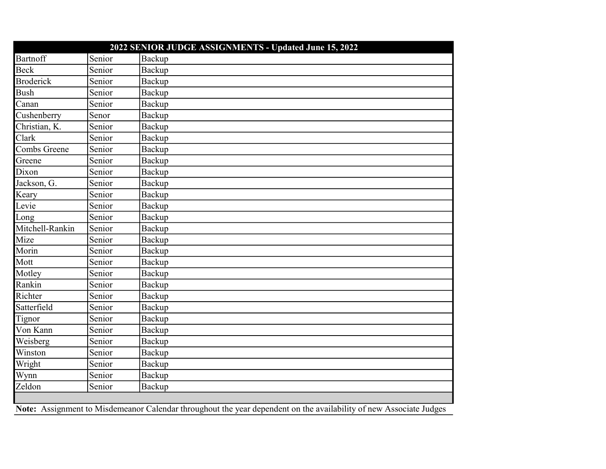|                  |        | 2022 SENIOR JUDGE ASSIGNMENTS - Updated June 15, 2022                                                              |
|------------------|--------|--------------------------------------------------------------------------------------------------------------------|
| <b>Bartnoff</b>  | Senior | Backup                                                                                                             |
| Beck             | Senior | Backup                                                                                                             |
| <b>Broderick</b> | Senior | Backup                                                                                                             |
| <b>Bush</b>      | Senior | Backup                                                                                                             |
| Canan            | Senior | Backup                                                                                                             |
| Cushenberry      | Senor  | Backup                                                                                                             |
| Christian, K.    | Senior | Backup                                                                                                             |
| Clark            | Senior | Backup                                                                                                             |
| Combs Greene     | Senior | Backup                                                                                                             |
| Greene           | Senior | Backup                                                                                                             |
| Dixon            | Senior | Backup                                                                                                             |
| Jackson, G.      | Senior | Backup                                                                                                             |
| Keary            | Senior | Backup                                                                                                             |
| Levie            | Senior | Backup                                                                                                             |
| Long             | Senior | Backup                                                                                                             |
| Mitchell-Rankin  | Senior | Backup                                                                                                             |
| Mize             | Senior | Backup                                                                                                             |
| Morin            | Senior | Backup                                                                                                             |
| Mott             | Senior | Backup                                                                                                             |
| Motley           | Senior | Backup                                                                                                             |
| Rankin           | Senior | Backup                                                                                                             |
| Richter          | Senior | Backup                                                                                                             |
| Satterfield      | Senior | Backup                                                                                                             |
| Tignor           | Senior | Backup                                                                                                             |
| Von Kann         | Senior | Backup                                                                                                             |
| Weisberg         | Senior | Backup                                                                                                             |
| Winston          | Senior | Backup                                                                                                             |
| Wright           | Senior | Backup                                                                                                             |
| Wynn             | Senior | Backup                                                                                                             |
| Zeldon           | Senior | Backup                                                                                                             |
|                  |        |                                                                                                                    |
|                  |        | Note: Assignment to Misdemeanor Calendar throughout the year dependent on the availability of new Associate Judges |